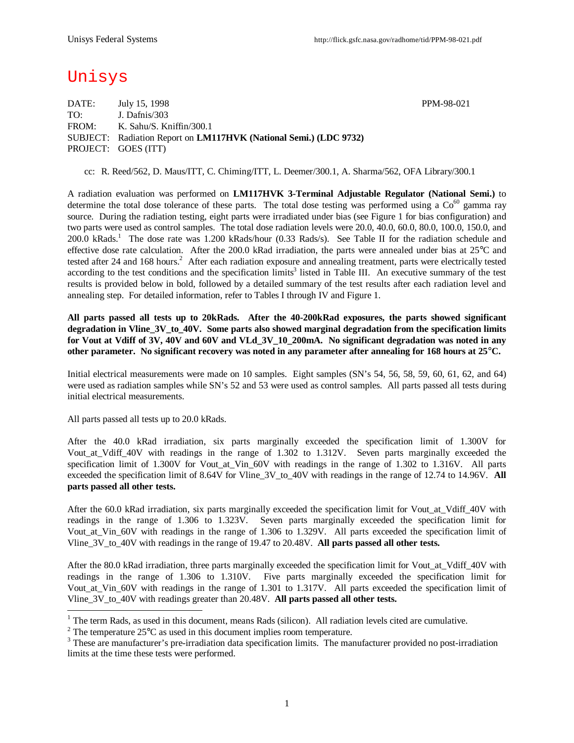# Unisys

DATE: July 15, 1998 PPM-98-021 TO: J. Dafnis/303 FROM: K. Sahu/S. Kniffin/300.1 SUBJECT: Radiation Report on **LM117HVK (National Semi.) (LDC 9732)** PROJECT: GOES (ITT)

cc: R. Reed/562, D. Maus/ITT, C. Chiming/ITT, L. Deemer/300.1, A. Sharma/562, OFA Library/300.1

A radiation evaluation was performed on **LM117HVK 3-Terminal Adjustable Regulator (National Semi.)** to determine the total dose tolerance of these parts. The total dose testing was performed using a  $Co<sup>60</sup>$  gamma ray source. During the radiation testing, eight parts were irradiated under bias (see Figure 1 for bias configuration) and two parts were used as control samples. The total dose radiation levels were 20.0, 40.0, 60.0, 80.0, 100.0, 150.0, and 200.0 kRads.<sup>1</sup> The dose rate was 1.200 kRads/hour (0.33 Rads/s). See Table II for the radiation schedule and effective dose rate calculation. After the 200.0 kRad irradiation, the parts were annealed under bias at 25°C and tested after 24 and 168 hours.<sup>2</sup> After each radiation exposure and annealing treatment, parts were electrically tested according to the test conditions and the specification limits<sup>3</sup> listed in Table III. An executive summary of the test results is provided below in bold, followed by a detailed summary of the test results after each radiation level and annealing step. For detailed information, refer to Tables I through IV and Figure 1.

**All parts passed all tests up to 20kRads. After the 40-200kRad exposures, the parts showed significant degradation in Vline\_3V\_to\_40V. Some parts also showed marginal degradation from the specification limits for Vout at Vdiff of 3V, 40V and 60V and VLd\_3V\_10\_200mA. No significant degradation was noted in any other parameter. No significant recovery was noted in any parameter after annealing for 168 hours at 25°C.**

Initial electrical measurements were made on 10 samples. Eight samples (SN's 54, 56, 58, 59, 60, 61, 62, and 64) were used as radiation samples while SN's 52 and 53 were used as control samples. All parts passed all tests during initial electrical measurements.

All parts passed all tests up to 20.0 kRads.

After the 40.0 kRad irradiation, six parts marginally exceeded the specification limit of 1.300V for Vout at Vdiff 40V with readings in the range of 1.302 to 1.312V. Seven parts marginally exceeded the specification limit of 1.300V for Vout\_at\_Vin\_60V with readings in the range of 1.302 to 1.316V. All parts exceeded the specification limit of 8.64V for Vline\_3V\_to\_40V with readings in the range of 12.74 to 14.96V. **All parts passed all other tests.**

After the 60.0 kRad irradiation, six parts marginally exceeded the specification limit for Vout\_at\_Vdiff\_40V with readings in the range of 1.306 to 1.323V. Seven parts marginally exceeded the specification limit for Vout\_at\_Vin\_60V with readings in the range of 1.306 to 1.329V. All parts exceeded the specification limit of Vline\_3V\_to\_40V with readings in the range of 19.47 to 20.48V. **All parts passed all other tests.**

After the 80.0 kRad irradiation, three parts marginally exceeded the specification limit for Vout at Vdiff 40V with readings in the range of 1.306 to 1.310V. Five parts marginally exceeded the specification limit for Vout\_at\_Vin\_60V with readings in the range of 1.301 to 1.317V. All parts exceeded the specification limit of Vline\_3V\_to\_40V with readings greater than 20.48V. **All parts passed all other tests.**

<sup>&</sup>lt;sup>1</sup> The term Rads, as used in this document, means Rads (silicon). All radiation levels cited are cumulative.

<sup>&</sup>lt;sup>2</sup> The temperature 25 $\degree$ C as used in this document implies room temperature.

<sup>&</sup>lt;sup>3</sup> These are manufacturer's pre-irradiation data specification limits. The manufacturer provided no post-irradiation limits at the time these tests were performed.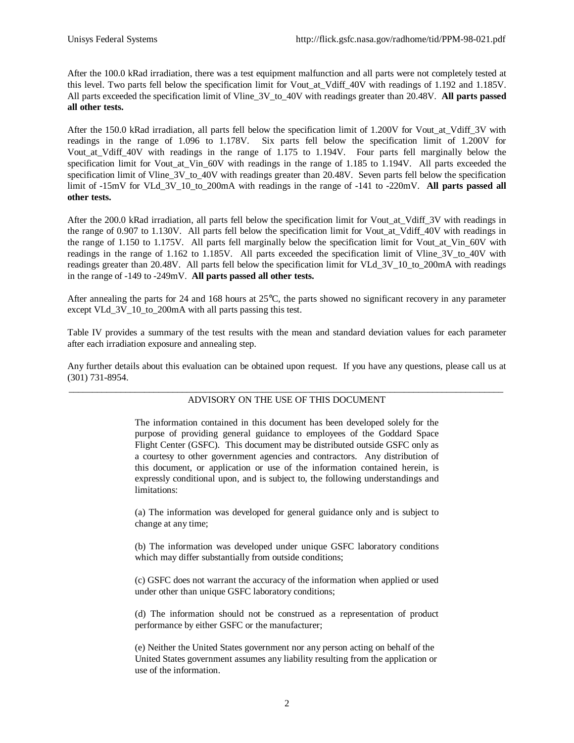After the 100.0 kRad irradiation, there was a test equipment malfunction and all parts were not completely tested at this level. Two parts fell below the specification limit for Vout at Vdiff 40V with readings of 1.192 and 1.185V. All parts exceeded the specification limit of Vline\_3V\_to\_40V with readings greater than 20.48V. **All parts passed all other tests.**

After the 150.0 kRad irradiation, all parts fell below the specification limit of 1.200V for Vout at Vdiff 3V with readings in the range of 1.096 to 1.178V. Six parts fell below the specification limit of 1.200V for Vout at Vdiff 40V with readings in the range of 1.175 to 1.194V. Four parts fell marginally below the specification limit for Vout at Vin 60V with readings in the range of 1.185 to 1.194V. All parts exceeded the specification limit of Vline\_3V\_to\_40V with readings greater than 20.48V. Seven parts fell below the specification limit of -15mV for VLd\_3V\_10\_to\_200mA with readings in the range of -141 to -220mV. **All parts passed all other tests.**

After the 200.0 kRad irradiation, all parts fell below the specification limit for Vout\_at\_Vdiff\_3V with readings in the range of 0.907 to 1.130V. All parts fell below the specification limit for Vout\_at\_Vdiff\_40V with readings in the range of 1.150 to 1.175V. All parts fell marginally below the specification limit for Vout\_at\_Vin\_60V with readings in the range of 1.162 to 1.185V. All parts exceeded the specification limit of Vline 3V to 40V with readings greater than 20.48V. All parts fell below the specification limit for VLd\_3V\_10\_to\_200mA with readings in the range of -149 to -249mV. **All parts passed all other tests.**

After annealing the parts for 24 and 168 hours at 25°C, the parts showed no significant recovery in any parameter except VLd\_3V\_10\_to\_200mA with all parts passing this test.

Table IV provides a summary of the test results with the mean and standard deviation values for each parameter after each irradiation exposure and annealing step.

Any further details about this evaluation can be obtained upon request. If you have any questions, please call us at (301) 731-8954.

#### \_\_\_\_\_\_\_\_\_\_\_\_\_\_\_\_\_\_\_\_\_\_\_\_\_\_\_\_\_\_\_\_\_\_\_\_\_\_\_\_\_\_\_\_\_\_\_\_\_\_\_\_\_\_\_\_\_\_\_\_\_\_\_\_\_\_\_\_\_\_\_\_\_\_\_\_\_\_\_\_\_\_\_\_\_\_\_\_\_\_\_\_ ADVISORY ON THE USE OF THIS DOCUMENT

The information contained in this document has been developed solely for the purpose of providing general guidance to employees of the Goddard Space Flight Center (GSFC). This document may be distributed outside GSFC only as a courtesy to other government agencies and contractors. Any distribution of this document, or application or use of the information contained herein, is expressly conditional upon, and is subject to, the following understandings and limitations:

(a) The information was developed for general guidance only and is subject to change at any time;

(b) The information was developed under unique GSFC laboratory conditions which may differ substantially from outside conditions;

(c) GSFC does not warrant the accuracy of the information when applied or used under other than unique GSFC laboratory conditions;

(d) The information should not be construed as a representation of product performance by either GSFC or the manufacturer;

(e) Neither the United States government nor any person acting on behalf of the United States government assumes any liability resulting from the application or use of the information.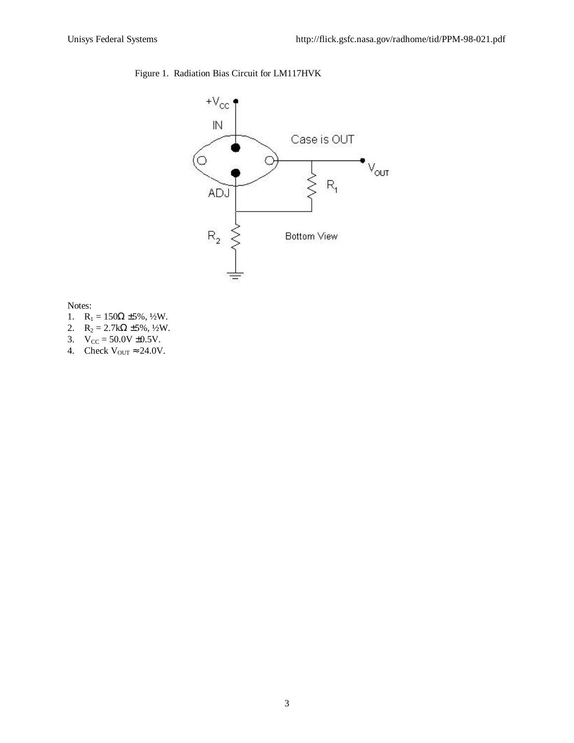## Figure 1. Radiation Bias Circuit for LM117HVK



Notes:

- 1.  $R_1 = 150Ω ± 5%$ , 1/2W.
- 2.  $R_2 = 2.7k\Omega \pm 5\%, \frac{1}{2}W$ .
- 3.  $V_{CC} = 50.0V \pm 0.5V$ .
- 4. Check  $V_{\text{OUT}} \approx 24.0 V$ .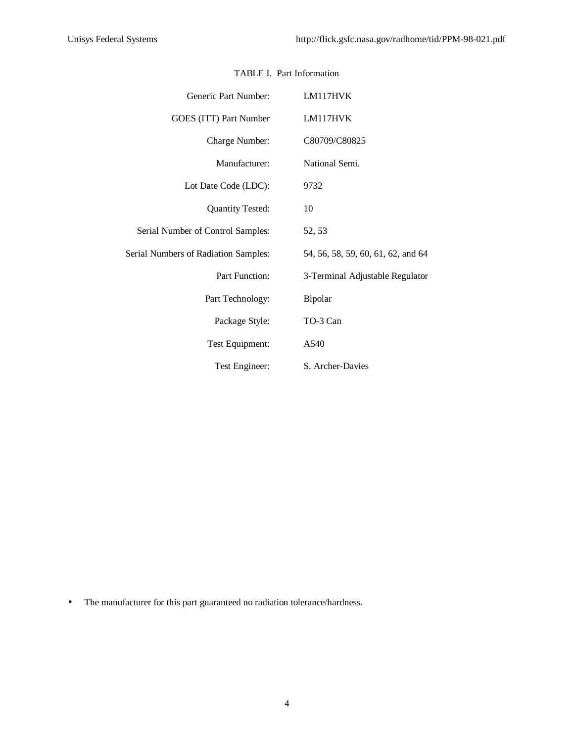| Generic Part Number:                 | LM117HVK                           |
|--------------------------------------|------------------------------------|
| GOES (ITT) Part Number               | LM117HVK                           |
| Charge Number:                       | C80709/C80825                      |
| Manufacturer:                        | National Semi.                     |
| Lot Date Code (LDC):                 | 9732                               |
| <b>Quantity Tested:</b>              | 10                                 |
| Serial Number of Control Samples:    | 52, 53                             |
| Serial Numbers of Radiation Samples: | 54, 56, 58, 59, 60, 61, 62, and 64 |
| Part Function:                       | 3-Terminal Adjustable Regulator    |
| Part Technology:                     | Bipolar                            |
| Package Style:                       | TO-3 Can                           |
| Test Equipment:                      | A540                               |
| Test Engineer:                       | S. Archer-Davies                   |

### TABLE I. Part Information

• The manufacturer for this part guaranteed no radiation tolerance/hardness.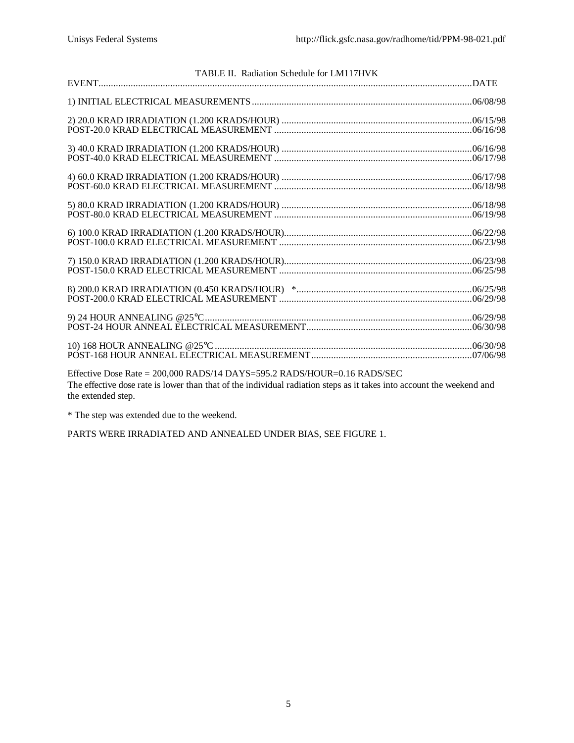| TABLE II. Radiation Schedule for LM117HVK                                                                                                                                                         |  |
|---------------------------------------------------------------------------------------------------------------------------------------------------------------------------------------------------|--|
|                                                                                                                                                                                                   |  |
|                                                                                                                                                                                                   |  |
|                                                                                                                                                                                                   |  |
|                                                                                                                                                                                                   |  |
|                                                                                                                                                                                                   |  |
|                                                                                                                                                                                                   |  |
|                                                                                                                                                                                                   |  |
|                                                                                                                                                                                                   |  |
|                                                                                                                                                                                                   |  |
|                                                                                                                                                                                                   |  |
|                                                                                                                                                                                                   |  |
| Effective Dose Rate = 200,000 RADS/14 DAYS=595.2 RADS/HOUR=0.16 RADS/SEC<br>The effective dose rate is lower than that of the individual rediation steps as it takes into account the weekend and |  |

The effective dose rate is lower than that of the individual radiation steps as it takes into account the weekend and the extended step.

\* The step was extended due to the weekend.

PARTS WERE IRRADIATED AND ANNEALED UNDER BIAS, SEE FIGURE 1.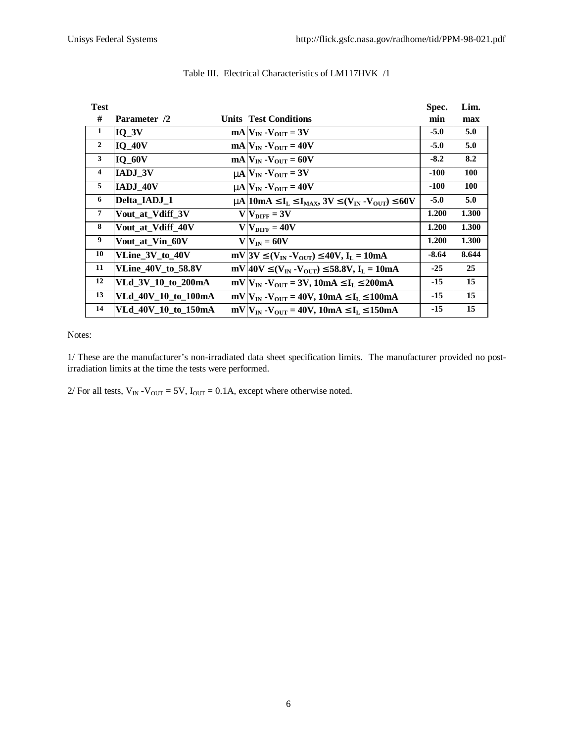| <b>Test</b>    |                           |                                                                                                                                  | Spec.   | Lim.       |
|----------------|---------------------------|----------------------------------------------------------------------------------------------------------------------------------|---------|------------|
| #              | Parameter /2              | <b>Units Test Conditions</b>                                                                                                     | min     | max        |
| 1              | $IO$ $3V$                 | $mAV_{IN} - V_{OIT} = 3V$                                                                                                        | $-5.0$  | 5.0        |
| $\overline{2}$ | $IQ_40V$                  | $mA$ $V_{IN}$ - $V_{OUT}$ = 40V                                                                                                  | $-5.0$  | 5.0        |
| 3              | $IQ_60V$                  | $mA$ $V_{IN}$ - $V_{OUT}$ = 60V                                                                                                  | $-8.2$  | 8.2        |
| $\overline{4}$ | <b>IADJ 3V</b>            | $mN_{\text{IN}}$ - $V_{\text{OUT}}$ = 3V                                                                                         | $-100$  | 100        |
| 5              | IADJ 40V                  | $mN_{\text{IN}} - V_{\text{OUT}} = 40V$                                                                                          | $-100$  | <b>100</b> |
| 6              | Delta IADJ 1              | m   10m A $\mathbf{E}$ I <sub>L</sub> $\mathbf{E}$ I <sub>MAX</sub> , 3V $\mathbf{E}$ (V <sub>IN</sub> - V <sub>OUT</sub> ) £60V | $-5.0$  | 5.0        |
| $\overline{7}$ | Vout_at_Vdiff_3V          | $V V_{\text{DIFF}} = 3V$                                                                                                         | 1.200   | 1.300      |
| 8              | Vout_at_Vdiff_40V         | $VNIFF = 40V$                                                                                                                    | 1.200   | 1.300      |
| 9              | Vout at Vin 60V           | $V V_{IN} = 60V$                                                                                                                 | 1.200   | 1.300      |
| 10             | VLine 3V to 40V           | $mV$  3V £(V <sub>IN</sub> -V <sub>OUT</sub> ) £40V, I <sub>L</sub> = 10mA                                                       | $-8.64$ | 8.644      |
| 11             | <b>VLine_40V_to_58.8V</b> | mV 40V $\mathbf{\mathfrak{L}}(V_{IN} - V_{OUT}) \mathbf{\mathfrak{L}}$ 58.8V, $I_L = 10mA$                                       | $-25$   | 25         |
| 12             | VLd_3V_10_to_200mA        | $mV V_{IN} - V_{OUT} = 3V$ , 10mA £I <sub>L</sub> £200mA                                                                         | $-15$   | 15         |
| 13             | VLd 40V 10 to 100mA       | $mV V_{IN} - V_{OUT} = 40V$ , 10mA £I <sub>L</sub> £100mA                                                                        | $-15$   | 15         |
| 14             | VLd 40V 10 to 150mA       | $mV V_{IN} - V_{OUT} = 40V$ , 10mA £I <sub>L</sub> £150mA                                                                        | $-15$   | 15         |

#### Table III. Electrical Characteristics of LM117HVK /1

Notes:

1/ These are the manufacturer's non-irradiated data sheet specification limits. The manufacturer provided no postirradiation limits at the time the tests were performed.

2/ For all tests,  $V_{IN} - V_{OUT} = 5V$ ,  $I_{OUT} = 0.1A$ , except where otherwise noted.